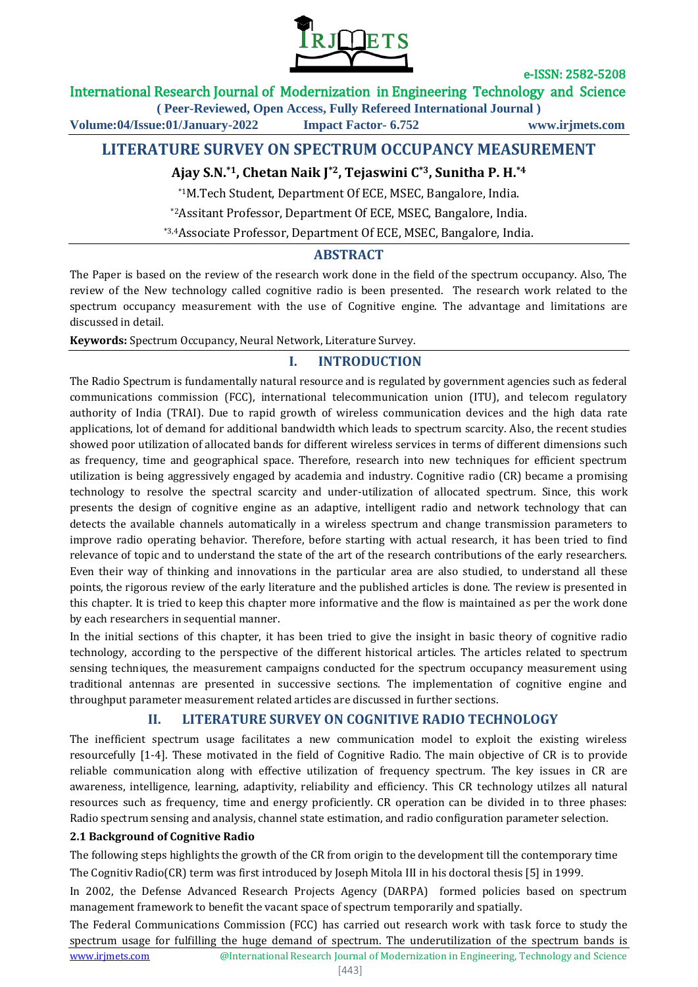

#### International Research Journal of Modernization in Engineering Technology and Science

**( Peer-Reviewed, Open Access, Fully Refereed International Journal )**

**Volume:04/Issue:01/January-2022 Impact Factor- 6.752 www.irjmets.com**

### **LITERATURE SURVEY ON SPECTRUM OCCUPANCY MEASUREMENT**

#### **Ajay S.N.\*1, Chetan Naik J\*2, Tejaswini C\*3, Sunitha P. H.\*4**

\*1M.Tech Student, Department Of ECE, MSEC, Bangalore, India.

\*2Assitant Professor, Department Of ECE, MSEC, Bangalore, India.

\*3,4Associate Professor, Department Of ECE, MSEC, Bangalore, India.

#### **ABSTRACT**

The Paper is based on the review of the research work done in the field of the spectrum occupancy. Also, The review of the New technology called cognitive radio is been presented. The research work related to the spectrum occupancy measurement with the use of Cognitive engine. The advantage and limitations are discussed in detail.

**Keywords:** Spectrum Occupancy, Neural Network, Literature Survey.

#### **I. INTRODUCTION**

The Radio Spectrum is fundamentally natural resource and is regulated by government agencies such as federal communications commission (FCC), international telecommunication union (ITU), and telecom regulatory authority of India (TRAI). Due to rapid growth of wireless communication devices and the high data rate applications, lot of demand for additional bandwidth which leads to spectrum scarcity. Also, the recent studies showed poor utilization of allocated bands for different wireless services in terms of different dimensions such as frequency, time and geographical space. Therefore, research into new techniques for efficient spectrum utilization is being aggressively engaged by academia and industry. Cognitive radio (CR) became a promising technology to resolve the spectral scarcity and under-utilization of allocated spectrum. Since, this work presents the design of cognitive engine as an adaptive, intelligent radio and network technology that can detects the available channels automatically in a wireless spectrum and change transmission parameters to improve radio operating behavior. Therefore, before starting with actual research, it has been tried to find relevance of topic and to understand the state of the art of the research contributions of the early researchers. Even their way of thinking and innovations in the particular area are also studied, to understand all these points, the rigorous review of the early literature and the published articles is done. The review is presented in this chapter. It is tried to keep this chapter more informative and the flow is maintained as per the work done by each researchers in sequential manner.

In the initial sections of this chapter, it has been tried to give the insight in basic theory of cognitive radio technology, according to the perspective of the different historical articles. The articles related to spectrum sensing techniques, the measurement campaigns conducted for the spectrum occupancy measurement using traditional antennas are presented in successive sections. The implementation of cognitive engine and throughput parameter measurement related articles are discussed in further sections.

### **II. LITERATURE SURVEY ON COGNITIVE RADIO TECHNOLOGY**

The inefficient spectrum usage facilitates a new communication model to exploit the existing wireless resourcefully [1-4]. These motivated in the field of Cognitive Radio. The main objective of CR is to provide reliable communication along with effective utilization of frequency spectrum. The key issues in CR are awareness, intelligence, learning, adaptivity, reliability and efficiency. This CR technology utilzes all natural resources such as frequency, time and energy proficiently. CR operation can be divided in to three phases: Radio spectrum sensing and analysis, channel state estimation, and radio configuration parameter selection.

#### **2.1 Background of Cognitive Radio**

The following steps highlights the growth of the CR from origin to the development till the contemporary time

The Cognitiv Radio(CR) term was first introduced by Joseph Mitola III in his doctoral thesis [5] in 1999.

In 2002, the Defense Advanced Research Projects Agency (DARPA) formed policies based on spectrum management framework to benefit the vacant space of spectrum temporarily and spatially.

www.irimets.com **@International Research Journal of Modernization in Engineering, Technology and Science** The Federal Communications Commission (FCC) has carried out research work with task force to study the spectrum usage for fulfilling the huge demand of spectrum. The underutilization of the spectrum bands is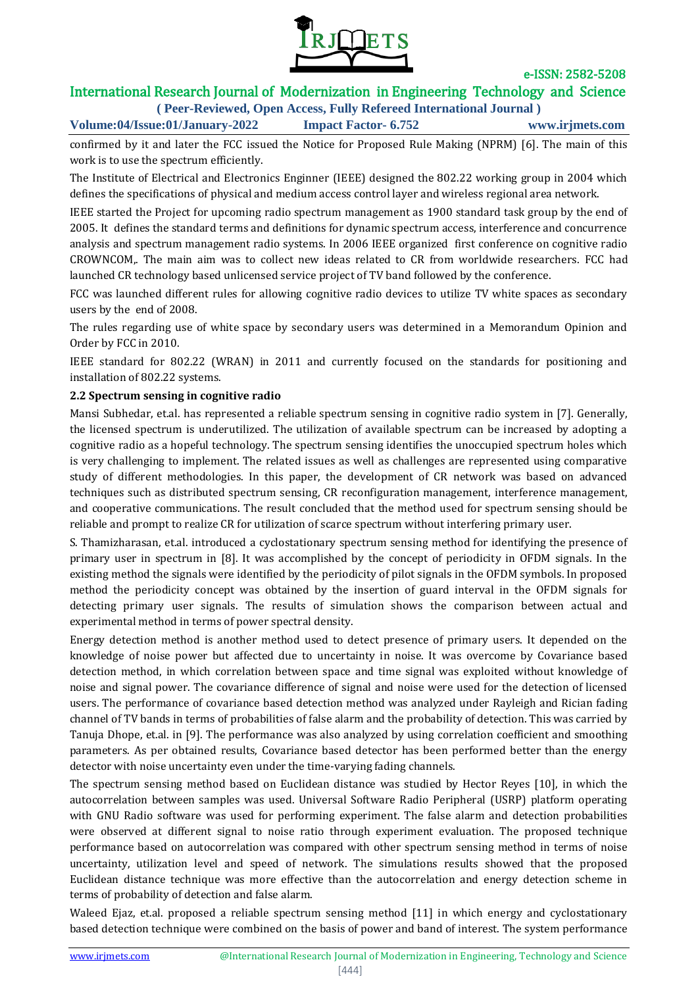

### International Research Journal of Modernization in Engineering Technology and Science

**( Peer-Reviewed, Open Access, Fully Refereed International Journal ) Volume:04/Issue:01/January-2022 Impact Factor- 6.752 www.irjmets.com**

confirmed by it and later the FCC issued the Notice for Proposed Rule Making (NPRM) [6]. The main of this work is to use the spectrum efficiently.

The Institute of Electrical and Electronics Enginner (IEEE) designed the 802.22 working group in 2004 which defines the specifications of physical and medium access control layer and wireless regional area network.

IEEE started the Project for upcoming radio spectrum management as 1900 standard task group by the end of 2005. It defines the standard terms and definitions for dynamic spectrum access, interference and concurrence analysis and spectrum management radio systems. In 2006 IEEE organized first conference on cognitive radio CROWNCOM,. The main aim was to collect new ideas related to CR from worldwide researchers. FCC had launched CR technology based unlicensed service project of TV band followed by the conference.

FCC was launched different rules for allowing cognitive radio devices to utilize TV white spaces as secondary users by the end of 2008.

The rules regarding use of white space by secondary users was determined in a Memorandum Opinion and Order by FCC in 2010.

IEEE standard for 802.22 (WRAN) in 2011 and currently focused on the standards for positioning and installation of 802.22 systems.

#### **2.2 Spectrum sensing in cognitive radio**

Mansi Subhedar, et.al. has represented a reliable spectrum sensing in cognitive radio system in [7]. Generally, the licensed spectrum is underutilized. The utilization of available spectrum can be increased by adopting a cognitive radio as a hopeful technology. The spectrum sensing identifies the unoccupied spectrum holes which is very challenging to implement. The related issues as well as challenges are represented using comparative study of different methodologies. In this paper, the development of CR network was based on advanced techniques such as distributed spectrum sensing, CR reconfiguration management, interference management, and cooperative communications. The result concluded that the method used for spectrum sensing should be reliable and prompt to realize CR for utilization of scarce spectrum without interfering primary user.

S. Thamizharasan, et.al. introduced a cyclostationary spectrum sensing method for identifying the presence of primary user in spectrum in [8]. It was accomplished by the concept of periodicity in OFDM signals. In the existing method the signals were identified by the periodicity of pilot signals in the OFDM symbols. In proposed method the periodicity concept was obtained by the insertion of guard interval in the OFDM signals for detecting primary user signals. The results of simulation shows the comparison between actual and experimental method in terms of power spectral density.

Energy detection method is another method used to detect presence of primary users. It depended on the knowledge of noise power but affected due to uncertainty in noise. It was overcome by Covariance based detection method, in which correlation between space and time signal was exploited without knowledge of noise and signal power. The covariance difference of signal and noise were used for the detection of licensed users. The performance of covariance based detection method was analyzed under Rayleigh and Rician fading channel of TV bands in terms of probabilities of false alarm and the probability of detection. This was carried by Tanuja Dhope, et.al. in [9]. The performance was also analyzed by using correlation coefficient and smoothing parameters. As per obtained results, Covariance based detector has been performed better than the energy detector with noise uncertainty even under the time-varying fading channels.

The spectrum sensing method based on Euclidean distance was studied by Hector Reyes [10], in which the autocorrelation between samples was used. Universal Software Radio Peripheral (USRP) platform operating with GNU Radio software was used for performing experiment. The false alarm and detection probabilities were observed at different signal to noise ratio through experiment evaluation. The proposed technique performance based on autocorrelation was compared with other spectrum sensing method in terms of noise uncertainty, utilization level and speed of network. The simulations results showed that the proposed Euclidean distance technique was more effective than the autocorrelation and energy detection scheme in terms of probability of detection and false alarm.

Waleed Ejaz, et.al. proposed a reliable spectrum sensing method [11] in which energy and cyclostationary based detection technique were combined on the basis of power and band of interest. The system performance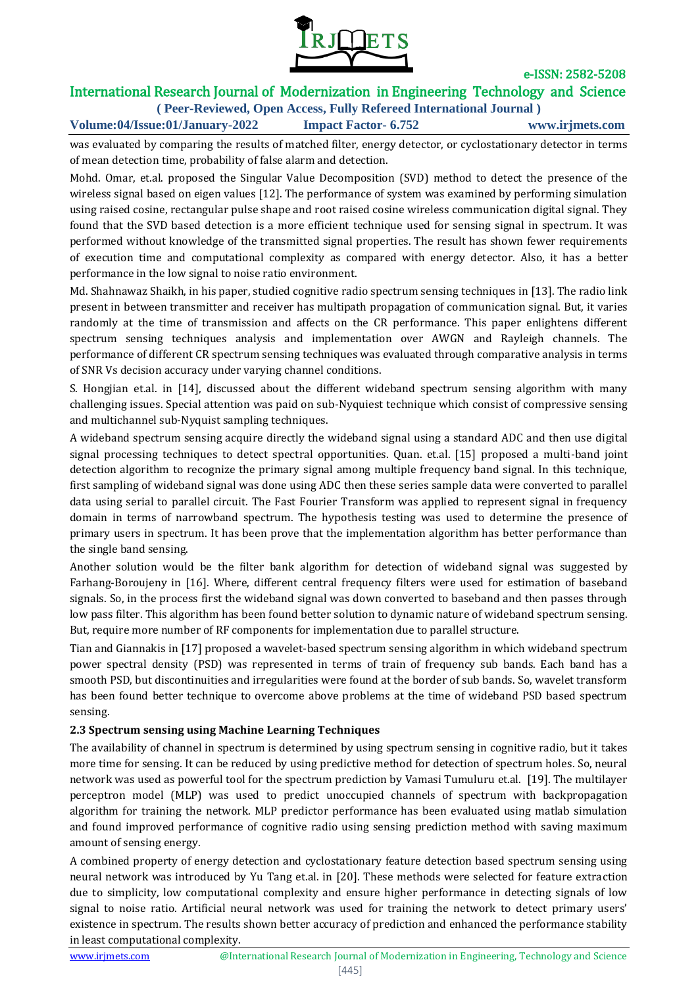

# International Research Journal of Modernization in Engineering Technology and Science

**( Peer-Reviewed, Open Access, Fully Refereed International Journal ) Volume:04/Issue:01/January-2022 Impact Factor- 6.752 www.irjmets.com**

was evaluated by comparing the results of matched filter, energy detector, or cyclostationary detector in terms of mean detection time, probability of false alarm and detection.

Mohd. Omar, et.al. proposed the Singular Value Decomposition (SVD) method to detect the presence of the wireless signal based on eigen values [12]. The performance of system was examined by performing simulation using raised cosine, rectangular pulse shape and root raised cosine wireless communication digital signal. They found that the SVD based detection is a more efficient technique used for sensing signal in spectrum. It was performed without knowledge of the transmitted signal properties. The result has shown fewer requirements of execution time and computational complexity as compared with energy detector. Also, it has a better performance in the low signal to noise ratio environment.

Md. Shahnawaz Shaikh, in his paper, studied cognitive radio spectrum sensing techniques in [13]. The radio link present in between transmitter and receiver has multipath propagation of communication signal. But, it varies randomly at the time of transmission and affects on the CR performance. This paper enlightens different spectrum sensing techniques analysis and implementation over AWGN and Rayleigh channels. The performance of different CR spectrum sensing techniques was evaluated through comparative analysis in terms of SNR Vs decision accuracy under varying channel conditions.

S. Hongjian et.al. in [14], discussed about the different wideband spectrum sensing algorithm with many challenging issues. Special attention was paid on sub-Nyquiest technique which consist of compressive sensing and multichannel sub-Nyquist sampling techniques.

A wideband spectrum sensing acquire directly the wideband signal using a standard ADC and then use digital signal processing techniques to detect spectral opportunities. Quan. et.al. [15] proposed a multi-band joint detection algorithm to recognize the primary signal among multiple frequency band signal. In this technique, first sampling of wideband signal was done using ADC then these series sample data were converted to parallel data using serial to parallel circuit. The Fast Fourier Transform was applied to represent signal in frequency domain in terms of narrowband spectrum. The hypothesis testing was used to determine the presence of primary users in spectrum. It has been prove that the implementation algorithm has better performance than the single band sensing.

Another solution would be the filter bank algorithm for detection of wideband signal was suggested by Farhang-Boroujeny in [16]. Where, different central frequency filters were used for estimation of baseband signals. So, in the process first the wideband signal was down converted to baseband and then passes through low pass filter. This algorithm has been found better solution to dynamic nature of wideband spectrum sensing. But, require more number of RF components for implementation due to parallel structure.

Tian and Giannakis in [17] proposed a wavelet-based spectrum sensing algorithm in which wideband spectrum power spectral density (PSD) was represented in terms of train of frequency sub bands. Each band has a smooth PSD, but discontinuities and irregularities were found at the border of sub bands. So, wavelet transform has been found better technique to overcome above problems at the time of wideband PSD based spectrum sensing.

#### **2.3 Spectrum sensing using Machine Learning Techniques**

The availability of channel in spectrum is determined by using spectrum sensing in cognitive radio, but it takes more time for sensing. It can be reduced by using predictive method for detection of spectrum holes. So, neural network was used as powerful tool for the spectrum prediction by Vamasi Tumuluru et.al. [19]. The multilayer perceptron model (MLP) was used to predict unoccupied channels of spectrum with backpropagation algorithm for training the network. MLP predictor performance has been evaluated using matlab simulation and found improved performance of cognitive radio using sensing prediction method with saving maximum amount of sensing energy.

A combined property of energy detection and cyclostationary feature detection based spectrum sensing using neural network was introduced by Yu Tang et.al. in [20]. These methods were selected for feature extraction due to simplicity, low computational complexity and ensure higher performance in detecting signals of low signal to noise ratio. Artificial neural network was used for training the network to detect primary users' existence in spectrum. The results shown better accuracy of prediction and enhanced the performance stability in least computational complexity.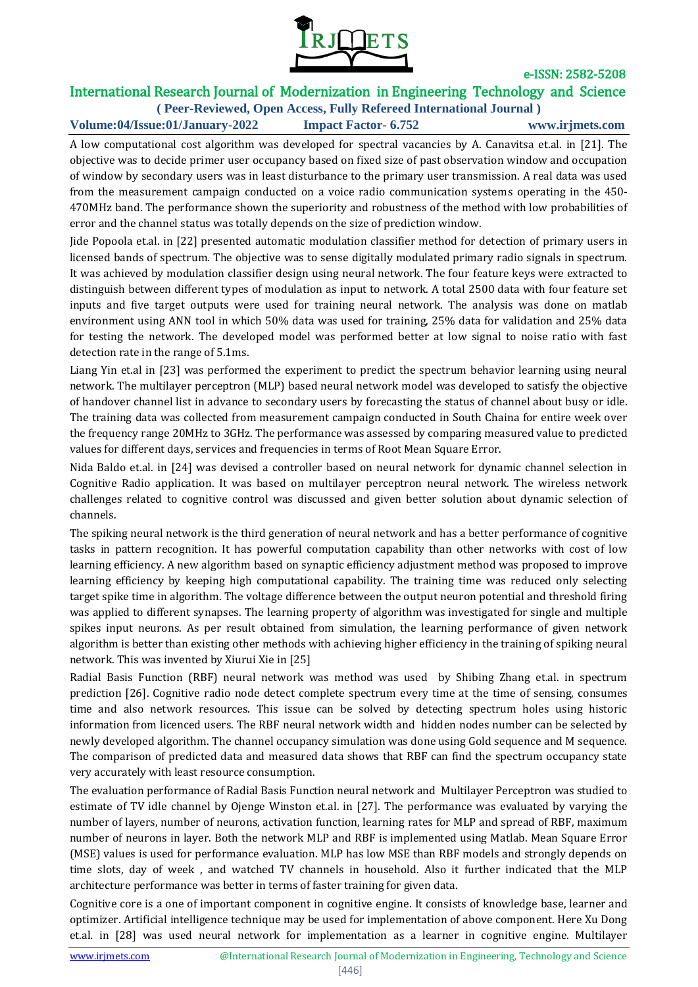

# International Research Journal of Modernization in Engineering Technology and Science

**( Peer-Reviewed, Open Access, Fully Refereed International Journal ) Volume:04/Issue:01/January-2022 Impact Factor- 6.752 www.irjmets.com**

A low computational cost algorithm was developed for spectral vacancies by A. Canavitsa et.al. in [21]. The objective was to decide primer user occupancy based on fixed size of past observation window and occupation of window by secondary users was in least disturbance to the primary user transmission. A real data was used from the measurement campaign conducted on a voice radio communication systems operating in the 450- 470MHz band. The performance shown the superiority and robustness of the method with low probabilities of error and the channel status was totally depends on the size of prediction window.

Jide Popoola et.al. in [22] presented automatic modulation classifier method for detection of primary users in licensed bands of spectrum. The objective was to sense digitally modulated primary radio signals in spectrum. It was achieved by modulation classifier design using neural network. The four feature keys were extracted to distinguish between different types of modulation as input to network. A total 2500 data with four feature set inputs and five target outputs were used for training neural network. The analysis was done on matlab environment using ANN tool in which 50% data was used for training, 25% data for validation and 25% data for testing the network. The developed model was performed better at low signal to noise ratio with fast detection rate in the range of 5.1ms.

Liang Yin et.al in [23] was performed the experiment to predict the spectrum behavior learning using neural network. The multilayer perceptron (MLP) based neural network model was developed to satisfy the objective of handover channel list in advance to secondary users by forecasting the status of channel about busy or idle. The training data was collected from measurement campaign conducted in South Chaina for entire week over the frequency range 20MHz to 3GHz. The performance was assessed by comparing measured value to predicted values for different days, services and frequencies in terms of Root Mean Square Error.

Nida Baldo et.al. in [24] was devised a controller based on neural network for dynamic channel selection in Cognitive Radio application. It was based on multilayer perceptron neural network. The wireless network challenges related to cognitive control was discussed and given better solution about dynamic selection of channels.

The spiking neural network is the third generation of neural network and has a better performance of cognitive tasks in pattern recognition. It has powerful computation capability than other networks with cost of low learning efficiency. A new algorithm based on synaptic efficiency adjustment method was proposed to improve learning efficiency by keeping high computational capability. The training time was reduced only selecting target spike time in algorithm. The voltage difference between the output neuron potential and threshold firing was applied to different synapses. The learning property of algorithm was investigated for single and multiple spikes input neurons. As per result obtained from simulation, the learning performance of given network algorithm is better than existing other methods with achieving higher efficiency in the training of spiking neural network. This was invented by Xiurui Xie in [25]

Radial Basis Function (RBF) neural network was method was used by Shibing Zhang et.al. in spectrum prediction [26]. Cognitive radio node detect complete spectrum every time at the time of sensing, consumes time and also network resources. This issue can be solved by detecting spectrum holes using historic information from licenced users. The RBF neural network width and hidden nodes number can be selected by newly developed algorithm. The channel occupancy simulation was done using Gold sequence and M sequence. The comparison of predicted data and measured data shows that RBF can find the spectrum occupancy state very accurately with least resource consumption.

The evaluation performance of Radial Basis Function neural network and Multilayer Perceptron was studied to estimate of TV idle channel by Ojenge Winston et.al. in [27]. The performance was evaluated by varying the number of layers, number of neurons, activation function, learning rates for MLP and spread of RBF, maximum number of neurons in layer. Both the network MLP and RBF is implemented using Matlab. Mean Square Error (MSE) values is used for performance evaluation. MLP has low MSE than RBF models and strongly depends on time slots, day of week , and watched TV channels in household. Also it further indicated that the MLP architecture performance was better in terms of faster training for given data.

Cognitive core is a one of important component in cognitive engine. It consists of knowledge base, learner and optimizer. Artificial intelligence technique may be used for implementation of above component. Here Xu Dong et.al. in [28] was used neural network for implementation as a learner in cognitive engine. Multilayer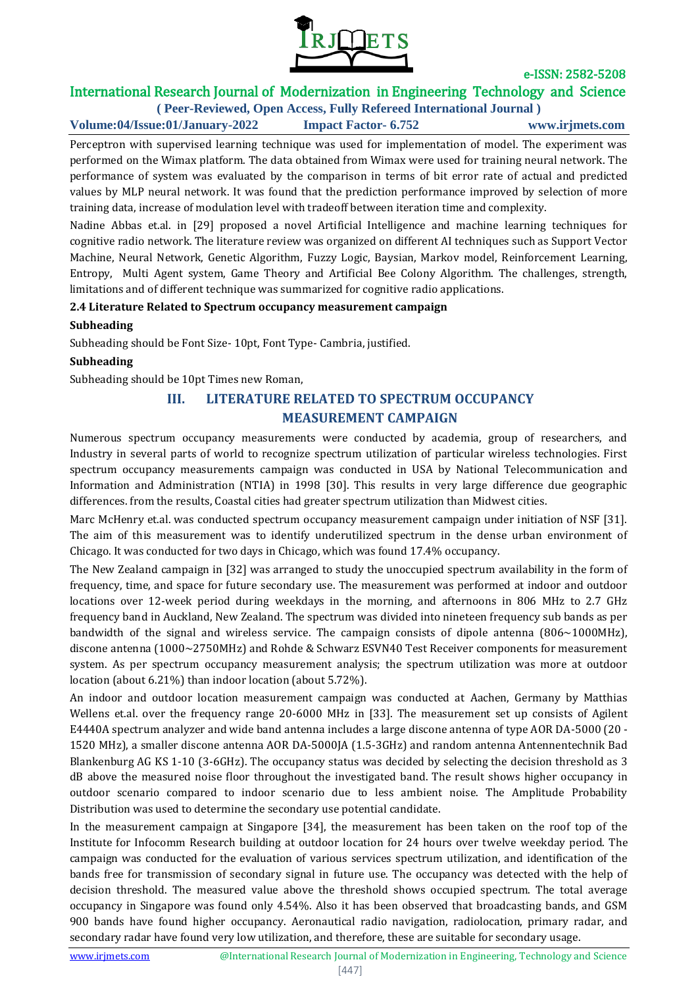

# International Research Journal of Modernization in Engineering Technology and Science

**( Peer-Reviewed, Open Access, Fully Refereed International Journal ) Volume:04/Issue:01/January-2022 Impact Factor- 6.752 www.irjmets.com**

Perceptron with supervised learning technique was used for implementation of model. The experiment was performed on the Wimax platform. The data obtained from Wimax were used for training neural network. The performance of system was evaluated by the comparison in terms of bit error rate of actual and predicted values by MLP neural network. It was found that the prediction performance improved by selection of more training data, increase of modulation level with tradeoff between iteration time and complexity.

Nadine Abbas et.al. in [29] proposed a novel Artificial Intelligence and machine learning techniques for cognitive radio network. The literature review was organized on different AI techniques such as Support Vector Machine, Neural Network, Genetic Algorithm, Fuzzy Logic, Baysian, Markov model, Reinforcement Learning, Entropy, Multi Agent system, Game Theory and Artificial Bee Colony Algorithm. The challenges, strength, limitations and of different technique was summarized for cognitive radio applications.

#### **2.4 Literature Related to Spectrum occupancy measurement campaign**

#### **Subheading**

Subheading should be Font Size- 10pt, Font Type- Cambria, justified.

#### **Subheading**

Subheading should be 10pt Times new Roman,

# **III. LITERATURE RELATED TO SPECTRUM OCCUPANCY MEASUREMENT CAMPAIGN**

Numerous spectrum occupancy measurements were conducted by academia, group of researchers, and Industry in several parts of world to recognize spectrum utilization of particular wireless technologies. First spectrum occupancy measurements campaign was conducted in USA by National Telecommunication and Information and Administration (NTIA) in 1998 [30]. This results in very large difference due geographic differences. from the results, Coastal cities had greater spectrum utilization than Midwest cities.

Marc McHenry et.al. was conducted spectrum occupancy measurement campaign under initiation of NSF [31]. The aim of this measurement was to identify underutilized spectrum in the dense urban environment of Chicago. It was conducted for two days in Chicago, which was found 17.4% occupancy.

The New Zealand campaign in [32] was arranged to study the unoccupied spectrum availability in the form of frequency, time, and space for future secondary use. The measurement was performed at indoor and outdoor locations over 12-week period during weekdays in the morning, and afternoons in 806 MHz to 2.7 GHz frequency band in Auckland, New Zealand. The spectrum was divided into nineteen frequency sub bands as per bandwidth of the signal and wireless service. The campaign consists of dipole antenna (806~1000MHz), discone antenna (1000~2750MHz) and Rohde & Schwarz ESVN40 Test Receiver components for measurement system. As per spectrum occupancy measurement analysis; the spectrum utilization was more at outdoor location (about 6.21%) than indoor location (about 5.72%).

An indoor and outdoor location measurement campaign was conducted at Aachen, Germany by Matthias Wellens et.al. over the frequency range 20-6000 MHz in [33]. The measurement set up consists of Agilent E4440A spectrum analyzer and wide band antenna includes a large discone antenna of type AOR DA-5000 (20 - 1520 MHz), a smaller discone antenna AOR DA-5000JA (1.5-3GHz) and random antenna Antennentechnik Bad Blankenburg AG KS 1-10 (3-6GHz). The occupancy status was decided by selecting the decision threshold as 3 dB above the measured noise floor throughout the investigated band. The result shows higher occupancy in outdoor scenario compared to indoor scenario due to less ambient noise. The Amplitude Probability Distribution was used to determine the secondary use potential candidate.

In the measurement campaign at Singapore [34], the measurement has been taken on the roof top of the Institute for Infocomm Research building at outdoor location for 24 hours over twelve weekday period. The campaign was conducted for the evaluation of various services spectrum utilization, and identification of the bands free for transmission of secondary signal in future use. The occupancy was detected with the help of decision threshold. The measured value above the threshold shows occupied spectrum. The total average occupancy in Singapore was found only 4.54%. Also it has been observed that broadcasting bands, and GSM 900 bands have found higher occupancy. Aeronautical radio navigation, radiolocation, primary radar, and secondary radar have found very low utilization, and therefore, these are suitable for secondary usage.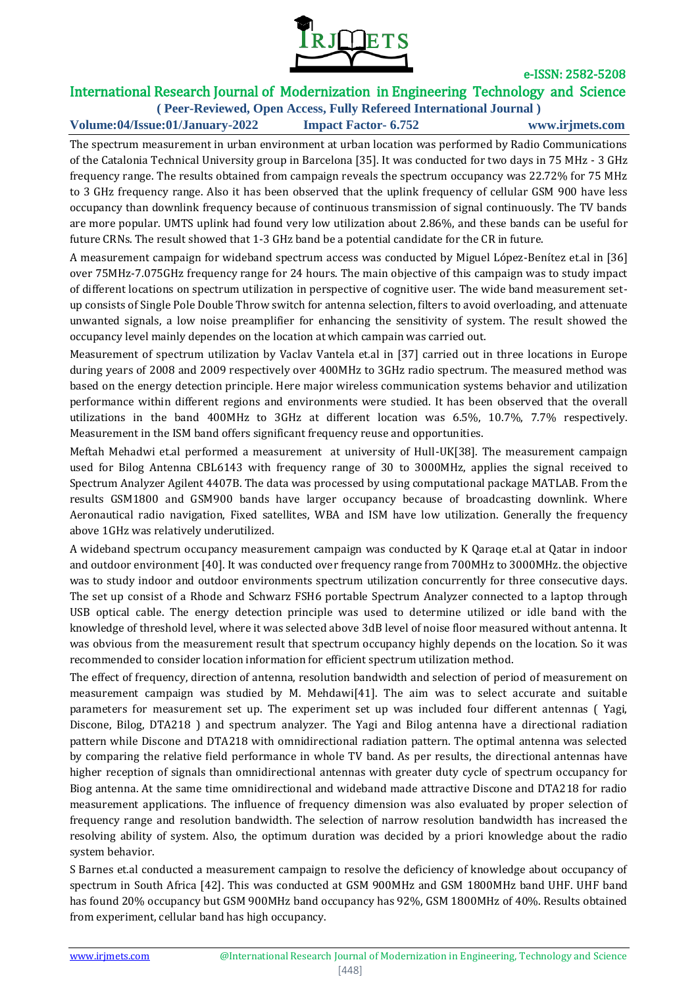

# International Research Journal of Modernization in Engineering Technology and Science

**( Peer-Reviewed, Open Access, Fully Refereed International Journal ) Volume:04/Issue:01/January-2022 Impact Factor- 6.752 www.irjmets.com**

The spectrum measurement in urban environment at urban location was performed by Radio Communications of the Catalonia Technical University group in Barcelona [35]. It was conducted for two days in 75 MHz - 3 GHz frequency range. The results obtained from campaign reveals the spectrum occupancy was 22.72% for 75 MHz to 3 GHz frequency range. Also it has been observed that the uplink frequency of cellular GSM 900 have less occupancy than downlink frequency because of continuous transmission of signal continuously. The TV bands are more popular. UMTS uplink had found very low utilization about 2.86%, and these bands can be useful for future CRNs. The result showed that 1-3 GHz band be a potential candidate for the CR in future.

A measurement campaign for wideband spectrum access was conducted by Miguel López-Benítez et.al in [36] over 75MHz-7.075GHz frequency range for 24 hours. The main objective of this campaign was to study impact of different locations on spectrum utilization in perspective of cognitive user. The wide band measurement setup consists of Single Pole Double Throw switch for antenna selection, filters to avoid overloading, and attenuate unwanted signals, a low noise preamplifier for enhancing the sensitivity of system. The result showed the occupancy level mainly dependes on the location at which campain was carried out.

Measurement of spectrum utilization by Vaclav Vantela et.al in [37] carried out in three locations in Europe during years of 2008 and 2009 respectively over 400MHz to 3GHz radio spectrum. The measured method was based on the energy detection principle. Here major wireless communication systems behavior and utilization performance within different regions and environments were studied. It has been observed that the overall utilizations in the band 400MHz to 3GHz at different location was 6.5%, 10.7%, 7.7% respectively. Measurement in the ISM band offers significant frequency reuse and opportunities.

Meftah Mehadwi et.al performed a measurement at university of Hull-UK[38]. The measurement campaign used for Bilog Antenna CBL6143 with frequency range of 30 to 3000MHz, applies the signal received to Spectrum Analyzer Agilent 4407B. The data was processed by using computational package MATLAB. From the results GSM1800 and GSM900 bands have larger occupancy because of broadcasting downlink. Where Aeronautical radio navigation, Fixed satellites, WBA and ISM have low utilization. Generally the frequency above 1GHz was relatively underutilized.

A wideband spectrum occupancy measurement campaign was conducted by K Qaraqe et.al at Qatar in indoor and outdoor environment [40]. It was conducted over frequency range from 700MHz to 3000MHz. the objective was to study indoor and outdoor environments spectrum utilization concurrently for three consecutive days. The set up consist of a Rhode and Schwarz FSH6 portable Spectrum Analyzer connected to a laptop through USB optical cable. The energy detection principle was used to determine utilized or idle band with the knowledge of threshold level, where it was selected above 3dB level of noise floor measured without antenna. It was obvious from the measurement result that spectrum occupancy highly depends on the location. So it was recommended to consider location information for efficient spectrum utilization method.

The effect of frequency, direction of antenna, resolution bandwidth and selection of period of measurement on measurement campaign was studied by M. Mehdawi[41]. The aim was to select accurate and suitable parameters for measurement set up. The experiment set up was included four different antennas ( Yagi, Discone, Bilog, DTA218 ) and spectrum analyzer. The Yagi and Bilog antenna have a directional radiation pattern while Discone and DTA218 with omnidirectional radiation pattern. The optimal antenna was selected by comparing the relative field performance in whole TV band. As per results, the directional antennas have higher reception of signals than omnidirectional antennas with greater duty cycle of spectrum occupancy for Biog antenna. At the same time omnidirectional and wideband made attractive Discone and DTA218 for radio measurement applications. The influence of frequency dimension was also evaluated by proper selection of frequency range and resolution bandwidth. The selection of narrow resolution bandwidth has increased the resolving ability of system. Also, the optimum duration was decided by a priori knowledge about the radio system behavior.

S Barnes et.al conducted a measurement campaign to resolve the deficiency of knowledge about occupancy of spectrum in South Africa [42]. This was conducted at GSM 900MHz and GSM 1800MHz band UHF. UHF band has found 20% occupancy but GSM 900MHz band occupancy has 92%, GSM 1800MHz of 40%. Results obtained from experiment, cellular band has high occupancy.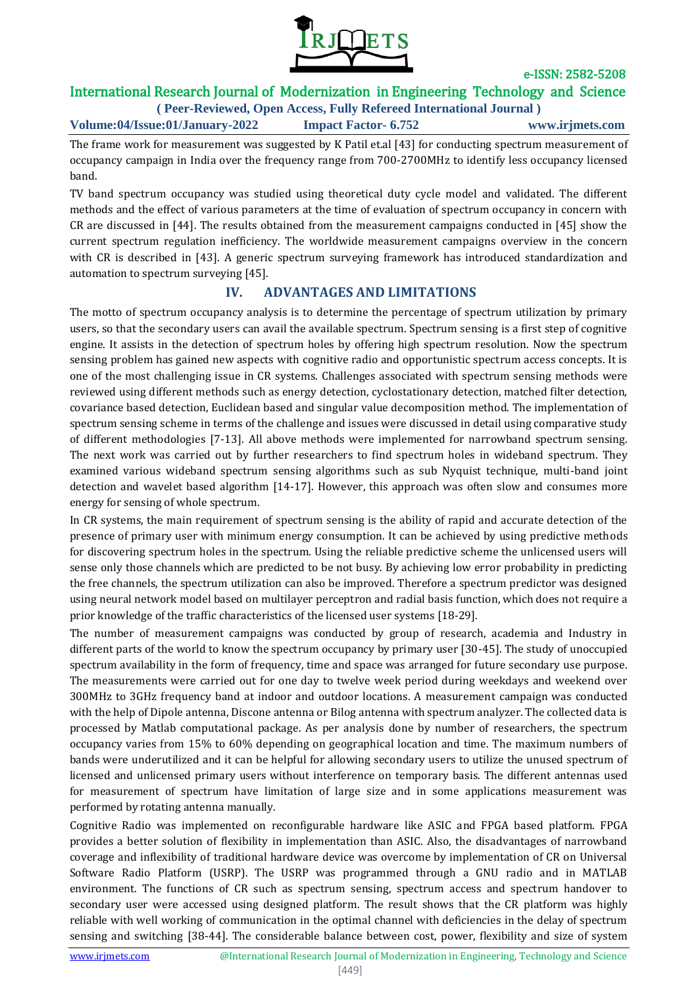

# International Research Journal of Modernization in Engineering Technology and Science

**( Peer-Reviewed, Open Access, Fully Refereed International Journal ) Volume:04/Issue:01/January-2022 Impact Factor- 6.752 www.irjmets.com**

The frame work for measurement was suggested by K Patil et.al [43] for conducting spectrum measurement of occupancy campaign in India over the frequency range from 700-2700MHz to identify less occupancy licensed band.

TV band spectrum occupancy was studied using theoretical duty cycle model and validated. The different methods and the effect of various parameters at the time of evaluation of spectrum occupancy in concern with CR are discussed in [44]. The results obtained from the measurement campaigns conducted in [45] show the current spectrum regulation inefficiency. The worldwide measurement campaigns overview in the concern with CR is described in [43]. A generic spectrum surveying framework has introduced standardization and automation to spectrum surveying [45].

### **IV. ADVANTAGES AND LIMITATIONS**

The motto of spectrum occupancy analysis is to determine the percentage of spectrum utilization by primary users, so that the secondary users can avail the available spectrum. Spectrum sensing is a first step of cognitive engine. It assists in the detection of spectrum holes by offering high spectrum resolution. Now the spectrum sensing problem has gained new aspects with cognitive radio and opportunistic spectrum access concepts. It is one of the most challenging issue in CR systems. Challenges associated with spectrum sensing methods were reviewed using different methods such as energy detection, cyclostationary detection, matched filter detection, covariance based detection, Euclidean based and singular value decomposition method. The implementation of spectrum sensing scheme in terms of the challenge and issues were discussed in detail using comparative study of different methodologies [7-13]. All above methods were implemented for narrowband spectrum sensing. The next work was carried out by further researchers to find spectrum holes in wideband spectrum. They examined various wideband spectrum sensing algorithms such as sub Nyquist technique, multi-band joint detection and wavelet based algorithm [14-17]. However, this approach was often slow and consumes more energy for sensing of whole spectrum.

In CR systems, the main requirement of spectrum sensing is the ability of rapid and accurate detection of the presence of primary user with minimum energy consumption. It can be achieved by using predictive methods for discovering spectrum holes in the spectrum. Using the reliable predictive scheme the unlicensed users will sense only those channels which are predicted to be not busy. By achieving low error probability in predicting the free channels, the spectrum utilization can also be improved. Therefore a spectrum predictor was designed using neural network model based on multilayer perceptron and radial basis function, which does not require a prior knowledge of the traffic characteristics of the licensed user systems [18-29].

The number of measurement campaigns was conducted by group of research, academia and Industry in different parts of the world to know the spectrum occupancy by primary user [30-45]. The study of unoccupied spectrum availability in the form of frequency, time and space was arranged for future secondary use purpose. The measurements were carried out for one day to twelve week period during weekdays and weekend over 300MHz to 3GHz frequency band at indoor and outdoor locations. A measurement campaign was conducted with the help of Dipole antenna, Discone antenna or Bilog antenna with spectrum analyzer. The collected data is processed by Matlab computational package. As per analysis done by number of researchers, the spectrum occupancy varies from 15% to 60% depending on geographical location and time. The maximum numbers of bands were underutilized and it can be helpful for allowing secondary users to utilize the unused spectrum of licensed and unlicensed primary users without interference on temporary basis. The different antennas used for measurement of spectrum have limitation of large size and in some applications measurement was performed by rotating antenna manually.

Cognitive Radio was implemented on reconfigurable hardware like ASIC and FPGA based platform. FPGA provides a better solution of flexibility in implementation than ASIC. Also, the disadvantages of narrowband coverage and inflexibility of traditional hardware device was overcome by implementation of CR on Universal Software Radio Platform (USRP). The USRP was programmed through a GNU radio and in MATLAB environment. The functions of CR such as spectrum sensing, spectrum access and spectrum handover to secondary user were accessed using designed platform. The result shows that the CR platform was highly reliable with well working of communication in the optimal channel with deficiencies in the delay of spectrum sensing and switching [38-44]. The considerable balance between cost, power, flexibility and size of system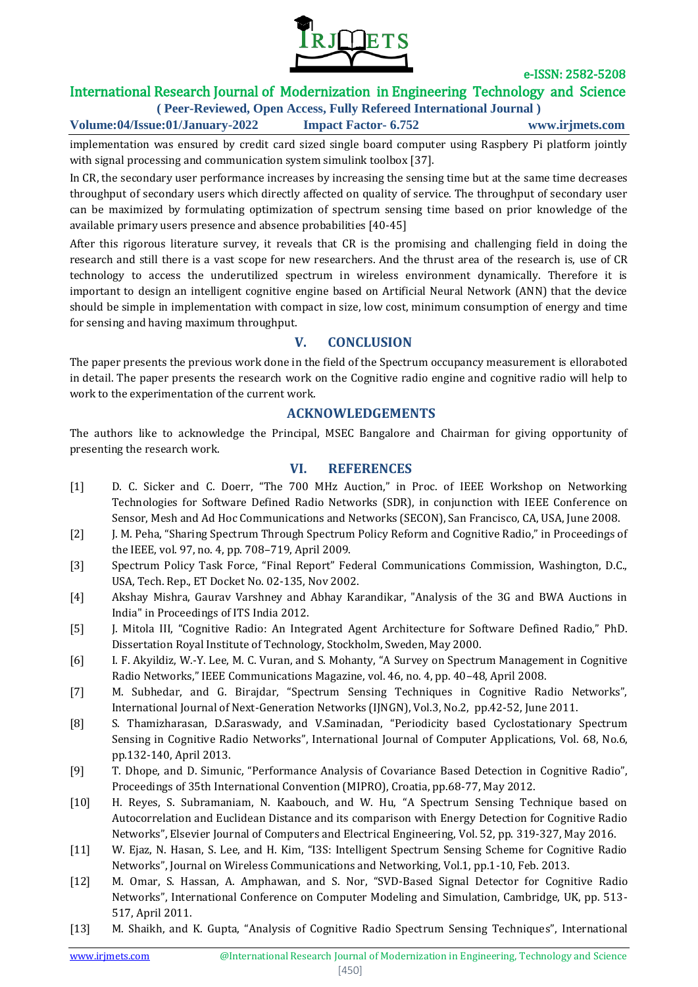

# International Research Journal of Modernization in Engineering Technology and Science

**( Peer-Reviewed, Open Access, Fully Refereed International Journal ) Volume:04/Issue:01/January-2022 Impact Factor- 6.752 www.irjmets.com**

implementation was ensured by credit card sized single board computer using Raspbery Pi platform jointly with signal processing and communication system simulink toolbox [37].

In CR, the secondary user performance increases by increasing the sensing time but at the same time decreases throughput of secondary users which directly affected on quality of service. The throughput of secondary user can be maximized by formulating optimization of spectrum sensing time based on prior knowledge of the available primary users presence and absence probabilities [40-45]

After this rigorous literature survey, it reveals that CR is the promising and challenging field in doing the research and still there is a vast scope for new researchers. And the thrust area of the research is, use of CR technology to access the underutilized spectrum in wireless environment dynamically. Therefore it is important to design an intelligent cognitive engine based on Artificial Neural Network (ANN) that the device should be simple in implementation with compact in size, low cost, minimum consumption of energy and time for sensing and having maximum throughput.

### **V. CONCLUSION**

The paper presents the previous work done in the field of the Spectrum occupancy measurement is elloraboted in detail. The paper presents the research work on the Cognitive radio engine and cognitive radio will help to work to the experimentation of the current work.

### **ACKNOWLEDGEMENTS**

The authors like to acknowledge the Principal, MSEC Bangalore and Chairman for giving opportunity of presenting the research work.

### **VI. REFERENCES**

- [1] D. C. Sicker and C. Doerr, "The 700 MHz Auction," in Proc. of IEEE Workshop on Networking Technologies for Software Defined Radio Networks (SDR), in conjunction with IEEE Conference on Sensor, Mesh and Ad Hoc Communications and Networks (SECON), San Francisco, CA, USA, June 2008.
- [2] J. M. Peha, "Sharing Spectrum Through Spectrum Policy Reform and Cognitive Radio," in Proceedings of the IEEE, vol. 97, no. 4, pp. 708–719, April 2009.
- [3] Spectrum Policy Task Force, "Final Report" Federal Communications Commission, Washington, D.C., USA, Tech. Rep., ET Docket No. 02-135, Nov 2002.
- [4] Akshay Mishra, Gaurav Varshney and Abhay Karandikar, "Analysis of the 3G and BWA Auctions in India" in Proceedings of ITS India 2012.
- [5] J. Mitola III, "Cognitive Radio: An Integrated Agent Architecture for Software Defined Radio," PhD. Dissertation Royal Institute of Technology, Stockholm, Sweden, May 2000.
- [6] I. F. Akyildiz, W.-Y. Lee, M. C. Vuran, and S. Mohanty, "A Survey on Spectrum Management in Cognitive Radio Networks," IEEE Communications Magazine, vol. 46, no. 4, pp. 40–48, April 2008.
- [7] M. Subhedar, and G. Birajdar, "Spectrum Sensing Techniques in Cognitive Radio Networks", International Journal of Next-Generation Networks (IJNGN), Vol.3, No.2, pp.42-52, June 2011.
- [8] S. Thamizharasan, D.Saraswady, and V.Saminadan, "Periodicity based Cyclostationary Spectrum Sensing in Cognitive Radio Networks", International Journal of Computer Applications, Vol. 68, No.6, pp.132-140, April 2013.
- [9] T. Dhope, and D. Simunic, "Performance Analysis of Covariance Based Detection in Cognitive Radio", Proceedings of 35th International Convention (MIPRO), Croatia, pp.68-77, May 2012.
- [10] H. Reyes, S. Subramaniam, N. Kaabouch, and W. Hu, "A Spectrum Sensing Technique based on Autocorrelation and Euclidean Distance and its comparison with Energy Detection for Cognitive Radio Networks", Elsevier Journal of Computers and Electrical Engineering, Vol. 52, pp. 319-327, May 2016.
- [11] W. Ejaz, N. Hasan, S. Lee, and H. Kim, "I3S: Intelligent Spectrum Sensing Scheme for Cognitive Radio Networks", Journal on Wireless Communications and Networking, Vol.1, pp.1-10, Feb. 2013.
- [12] M. Omar, S. Hassan, A. Amphawan, and S. Nor, "SVD-Based Signal Detector for Cognitive Radio Networks", International Conference on Computer Modeling and Simulation, Cambridge, UK, pp. 513- 517, April 2011.
- [13] M. Shaikh, and K. Gupta, "Analysis of Cognitive Radio Spectrum Sensing Techniques", International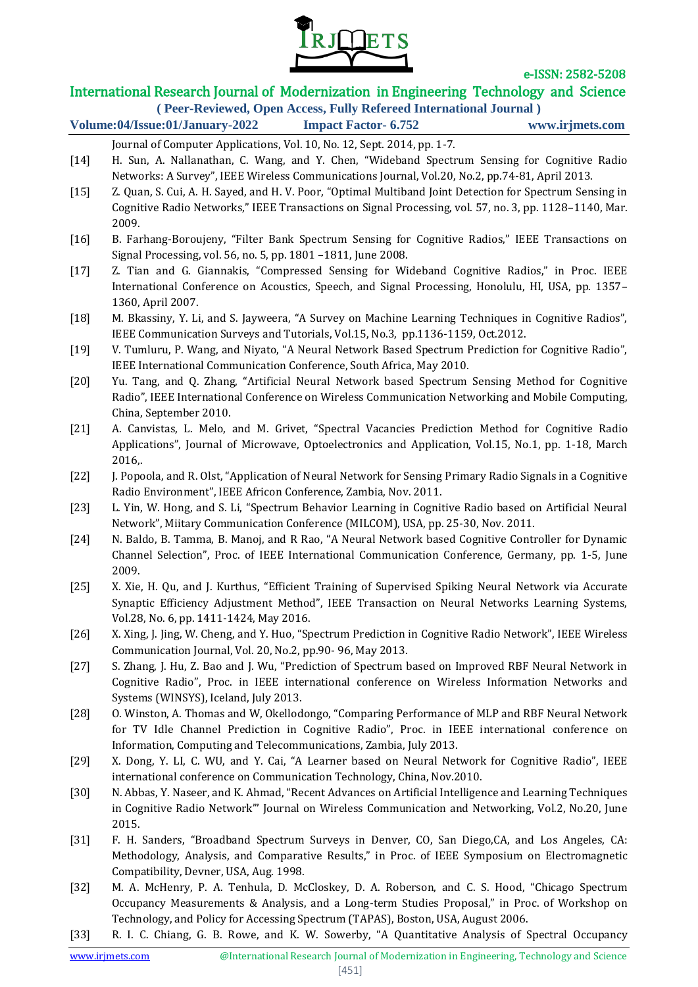

# International Research Journal of Modernization in Engineering Technology and Science

**( Peer-Reviewed, Open Access, Fully Refereed International Journal )**

# **Volume:04/Issue:01/January-2022 Impact Factor- 6.752 www.irjmets.com**

- Journal of Computer Applications, Vol. 10, No. 12, Sept. 2014, pp. 1-7. [14] H. Sun, A. Nallanathan, C. Wang, and Y. Chen, "Wideband Spectrum Sensing for Cognitive Radio Networks: A Survey", IEEE Wireless Communications Journal, Vol.20, No.2, pp.74-81, April 2013.
- [15] Z. Quan, S. Cui, A. H. Sayed, and H. V. Poor, "Optimal Multiband Joint Detection for Spectrum Sensing in Cognitive Radio Networks," IEEE Transactions on Signal Processing, vol. 57, no. 3, pp. 1128–1140, Mar. 2009.
- [16] B. Farhang-Boroujeny, "Filter Bank Spectrum Sensing for Cognitive Radios," IEEE Transactions on Signal Processing, vol. 56, no. 5, pp. 1801 –1811, June 2008.
- [17] Z. Tian and G. Giannakis, "Compressed Sensing for Wideband Cognitive Radios," in Proc. IEEE International Conference on Acoustics, Speech, and Signal Processing, Honolulu, HI, USA, pp. 1357– 1360, April 2007.
- [18] M. Bkassiny, Y. Li, and S. Jayweera, "A Survey on Machine Learning Techniques in Cognitive Radios", IEEE Communication Surveys and Tutorials, Vol.15, No.3, pp.1136-1159, Oct.2012.
- [19] V. Tumluru, P. Wang, and Niyato, "A Neural Network Based Spectrum Prediction for Cognitive Radio", IEEE International Communication Conference, South Africa, May 2010.
- [20] Yu. Tang, and Q. Zhang, "Artificial Neural Network based Spectrum Sensing Method for Cognitive Radio", IEEE International Conference on Wireless Communication Networking and Mobile Computing, China, September 2010.
- [21] A. Canvistas, L. Melo, and M. Grivet, "Spectral Vacancies Prediction Method for Cognitive Radio Applications", Journal of Microwave, Optoelectronics and Application, Vol.15, No.1, pp. 1-18, March 2016,.
- [22] J. Popoola, and R. Olst, "Application of Neural Network for Sensing Primary Radio Signals in a Cognitive Radio Environment", IEEE Africon Conference, Zambia, Nov. 2011.
- [23] L. Yin, W. Hong, and S. Li, "Spectrum Behavior Learning in Cognitive Radio based on Artificial Neural Network", Miitary Communication Conference (MILCOM), USA, pp. 25-30, Nov. 2011.
- [24] N. Baldo, B. Tamma, B. Manoj, and R Rao, "A Neural Network based Cognitive Controller for Dynamic Channel Selection", Proc. of IEEE International Communication Conference, Germany, pp. 1-5, June 2009.
- [25] X. Xie, H. Qu, and J. Kurthus, "Efficient Training of Supervised Spiking Neural Network via Accurate Synaptic Efficiency Adjustment Method", IEEE Transaction on Neural Networks Learning Systems, Vol.28, No. 6, pp. 1411-1424, May 2016.
- [26] X. Xing, J. Jing, W. Cheng, and Y. Huo, "Spectrum Prediction in Cognitive Radio Network", IEEE Wireless Communication Journal, Vol. 20, No.2, pp.90- 96, May 2013.
- [27] S. Zhang, J. Hu, Z. Bao and J. Wu, "Prediction of Spectrum based on Improved RBF Neural Network in Cognitive Radio", Proc. in IEEE international conference on Wireless Information Networks and Systems (WINSYS), Iceland, July 2013.
- [28] O. Winston, A. Thomas and W, Okellodongo, "Comparing Performance of MLP and RBF Neural Network for TV Idle Channel Prediction in Cognitive Radio", Proc. in IEEE international conference on Information, Computing and Telecommunications, Zambia, July 2013.
- [29] X. Dong, Y. LI, C. WU, and Y. Cai, "A Learner based on Neural Network for Cognitive Radio", IEEE international conference on Communication Technology, China, Nov.2010.
- [30] N. Abbas, Y. Naseer, and K. Ahmad, "Recent Advances on Artificial Intelligence and Learning Techniques in Cognitive Radio Network"' Journal on Wireless Communication and Networking, Vol.2, No.20, June 2015.
- [31] F. H. Sanders, "Broadband Spectrum Surveys in Denver, CO, San Diego,CA, and Los Angeles, CA: Methodology, Analysis, and Comparative Results," in Proc. of IEEE Symposium on Electromagnetic Compatibility, Devner, USA, Aug. 1998.
- [32] M. A. McHenry, P. A. Tenhula, D. McCloskey, D. A. Roberson, and C. S. Hood, "Chicago Spectrum Occupancy Measurements & Analysis, and a Long-term Studies Proposal," in Proc. of Workshop on Technology, and Policy for Accessing Spectrum (TAPAS), Boston, USA, August 2006.
- [33] R. I. C. Chiang, G. B. Rowe, and K. W. Sowerby, "A Quantitative Analysis of Spectral Occupancy